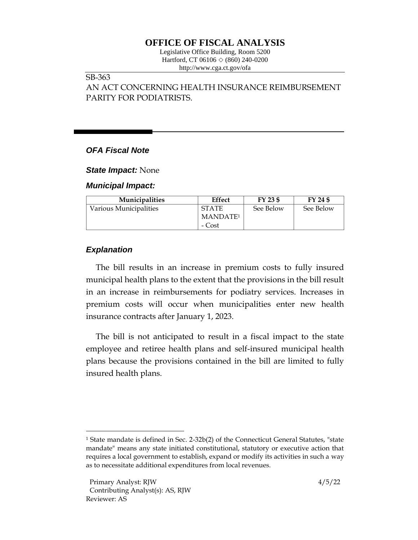# **OFFICE OF FISCAL ANALYSIS**

Legislative Office Building, Room 5200 Hartford, CT 06106  $\Diamond$  (860) 240-0200 http://www.cga.ct.gov/ofa

#### SB-363

AN ACT CONCERNING HEALTH INSURANCE REIMBURSEMENT PARITY FOR PODIATRISTS.

### *OFA Fiscal Note*

*State Impact:* None

*Municipal Impact:*

| <b>Municipalities</b>  | Effect               | FY 23 \$  | FY 24 \$  |
|------------------------|----------------------|-----------|-----------|
| Various Municipalities | <b>STATE</b>         | See Below | See Below |
|                        | MANDATE <sup>1</sup> |           |           |
|                        | - Cost               |           |           |

### *Explanation*

The bill results in an increase in premium costs to fully insured municipal health plans to the extent that the provisions in the bill result in an increase in reimbursements for podiatry services. Increases in premium costs will occur when municipalities enter new health insurance contracts after January 1, 2023.

The bill is not anticipated to result in a fiscal impact to the state employee and retiree health plans and self-insured municipal health plans because the provisions contained in the bill are limited to fully insured health plans.

<sup>1</sup> State mandate is defined in Sec. 2-32b(2) of the Connecticut General Statutes, "state mandate" means any state initiated constitutional, statutory or executive action that requires a local government to establish, expand or modify its activities in such a way as to necessitate additional expenditures from local revenues.